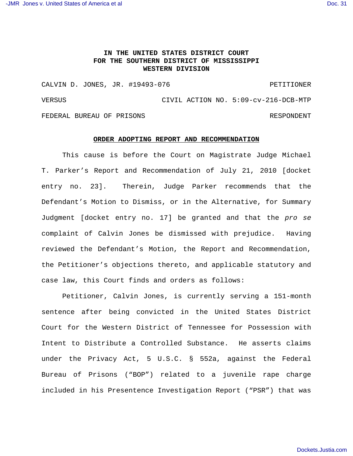## **IN THE UNITED STATES DISTRICT COURT FOR THE SOUTHERN DISTRICT OF MISSISSIPPI WESTERN DIVISION**

CALVIN D. JONES, JR. #19493-076 PETITIONER VERSUS CIVIL ACTION NO. 5:09-cv-216-DCB-MTP FEDERAL BUREAU OF PRISONS RESPONDENT

## **ORDER ADOPTING REPORT AND RECOMMENDATION**

This cause is before the Court on Magistrate Judge Michael T. Parker's Report and Recommendation of July 21, 2010 [docket entry no. 23]. Therein, Judge Parker recommends that the Defendant's Motion to Dismiss, or in the Alternative, for Summary Judgment [docket entry no. 17] be granted and that the *pro se* complaint of Calvin Jones be dismissed with prejudice. Having reviewed the Defendant's Motion, the Report and Recommendation, the Petitioner's objections thereto, and applicable statutory and case law, this Court finds and orders as follows:

Petitioner, Calvin Jones, is currently serving a 151-month sentence after being convicted in the United States District Court for the Western District of Tennessee for Possession with Intent to Distribute a Controlled Substance. He asserts claims under the Privacy Act, 5 U.S.C. § 552a, against the Federal Bureau of Prisons ("BOP") related to a juvenile rape charge included in his Presentence Investigation Report ("PSR") that was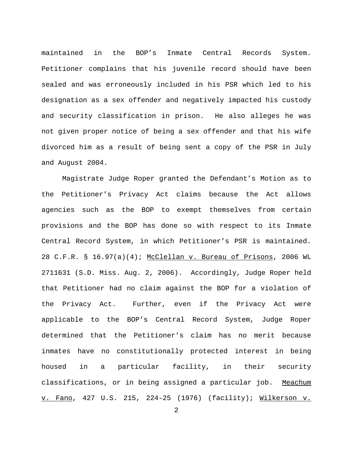maintained in the BOP's Inmate Central Records System. Petitioner complains that his juvenile record should have been sealed and was erroneously included in his PSR which led to his designation as a sex offender and negatively impacted his custody and security classification in prison. He also alleges he was not given proper notice of being a sex offender and that his wife divorced him as a result of being sent a copy of the PSR in July and August 2004.

Magistrate Judge Roper granted the Defendant's Motion as to the Petitioner's Privacy Act claims because the Act allows agencies such as the BOP to exempt themselves from certain provisions and the BOP has done so with respect to its Inmate Central Record System, in which Petitioner's PSR is maintained. 28 C.F.R. § 16.97(a)(4); McClellan v. Bureau of Prisons, 2006 WL 2711631 (S.D. Miss. Aug. 2, 2006). Accordingly, Judge Roper held that Petitioner had no claim against the BOP for a violation of the Privacy Act. Further, even if the Privacy Act were applicable to the BOP's Central Record System, Judge Roper determined that the Petitioner's claim has no merit because inmates have no constitutionally protected interest in being housed in a particular facility, in their security classifications, or in being assigned a particular job. Meachum v. Fano, 427 U.S. 215, 224-25 (1976) (facility); Wilkerson v.

2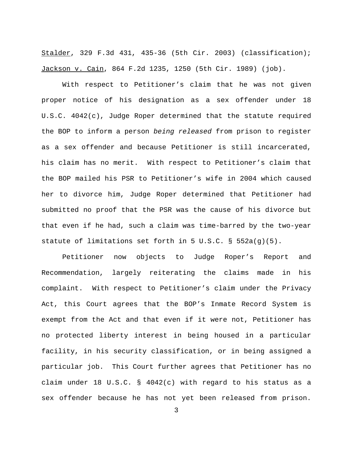Stalder, 329 F.3d 431, 435-36 (5th Cir. 2003) (classification); Jackson v. Cain, 864 F.2d 1235, 1250 (5th Cir. 1989) (job).

With respect to Petitioner's claim that he was not given proper notice of his designation as a sex offender under 18 U.S.C. 4042(c), Judge Roper determined that the statute required the BOP to inform a person *being released* from prison to register as a sex offender and because Petitioner is still incarcerated, his claim has no merit. With respect to Petitioner's claim that the BOP mailed his PSR to Petitioner's wife in 2004 which caused her to divorce him, Judge Roper determined that Petitioner had submitted no proof that the PSR was the cause of his divorce but that even if he had, such a claim was time-barred by the two-year statute of limitations set forth in 5 U.S.C. § 552a(g)(5).

Petitioner now objects to Judge Roper's Report and Recommendation, largely reiterating the claims made in his complaint. With respect to Petitioner's claim under the Privacy Act, this Court agrees that the BOP's Inmate Record System is exempt from the Act and that even if it were not, Petitioner has no protected liberty interest in being housed in a particular facility, in his security classification, or in being assigned a particular job. This Court further agrees that Petitioner has no claim under 18 U.S.C. § 4042(c) with regard to his status as a sex offender because he has not yet been released from prison.

3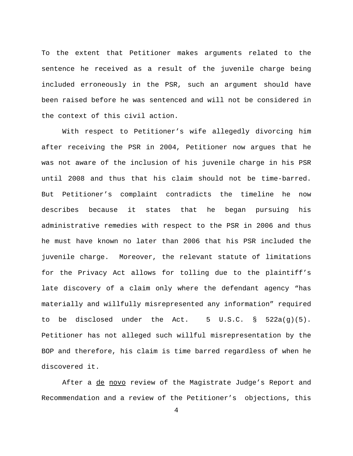To the extent that Petitioner makes arguments related to the sentence he received as a result of the juvenile charge being included erroneously in the PSR, such an argument should have been raised before he was sentenced and will not be considered in the context of this civil action.

With respect to Petitioner's wife allegedly divorcing him after receiving the PSR in 2004, Petitioner now argues that he was not aware of the inclusion of his juvenile charge in his PSR until 2008 and thus that his claim should not be time-barred. But Petitioner's complaint contradicts the timeline he now describes because it states that he began pursuing his administrative remedies with respect to the PSR in 2006 and thus he must have known no later than 2006 that his PSR included the juvenile charge. Moreover, the relevant statute of limitations for the Privacy Act allows for tolling due to the plaintiff's late discovery of a claim only where the defendant agency "has materially and willfully misrepresented any information" required to be disclosed under the Act. 5 U.S.C. § 522a(g)(5). Petitioner has not alleged such willful misrepresentation by the BOP and therefore, his claim is time barred regardless of when he discovered it.

After a de novo review of the Magistrate Judge's Report and Recommendation and a review of the Petitioner's objections, this

4